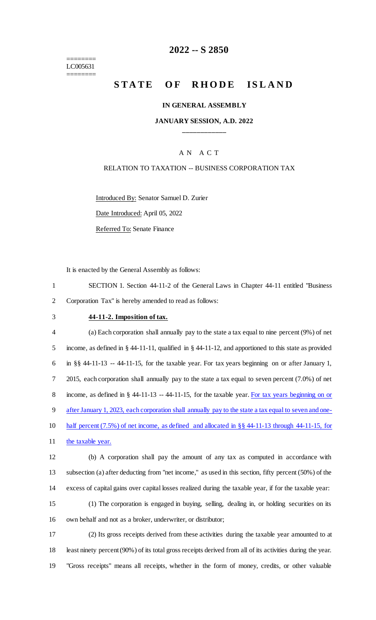======== LC005631 ========

## **2022 -- S 2850**

# **STATE OF RHODE ISLAND**

#### **IN GENERAL ASSEMBLY**

### **JANUARY SESSION, A.D. 2022 \_\_\_\_\_\_\_\_\_\_\_\_**

## A N A C T

### RELATION TO TAXATION -- BUSINESS CORPORATION TAX

Introduced By: Senator Samuel D. Zurier Date Introduced: April 05, 2022

Referred To: Senate Finance

It is enacted by the General Assembly as follows:

1 SECTION 1. Section 44-11-2 of the General Laws in Chapter 44-11 entitled "Business 2 Corporation Tax" is hereby amended to read as follows:

## 3 **44-11-2. Imposition of tax.**

 (a) Each corporation shall annually pay to the state a tax equal to nine percent (9%) of net income, as defined in § 44-11-11, qualified in § 44-11-12, and apportioned to this state as provided in §§ 44-11-13 -- 44-11-15, for the taxable year. For tax years beginning on or after January 1, 2015, each corporation shall annually pay to the state a tax equal to seven percent (7.0%) of net 8 income, as defined in § 44-11-13 -- 44-11-15, for the taxable year. For tax years beginning on or after January 1, 2023, each corporation shall annually pay to the state a tax equal to seven and one- half percent (7.5%) of net income, as defined and allocated in §§ 44-11-13 through 44-11-15, for 11 the taxable year. (b) A corporation shall pay the amount of any tax as computed in accordance with

13 subsection (a) after deducting from "net income," as used in this section, fifty percent (50%) of the 14 excess of capital gains over capital losses realized during the taxable year, if for the taxable year:

15 (1) The corporation is engaged in buying, selling, dealing in, or holding securities on its 16 own behalf and not as a broker, underwriter, or distributor;

17 (2) Its gross receipts derived from these activities during the taxable year amounted to at 18 least ninety percent (90%) of its total gross receipts derived from all of its activities during the year. 19 "Gross receipts" means all receipts, whether in the form of money, credits, or other valuable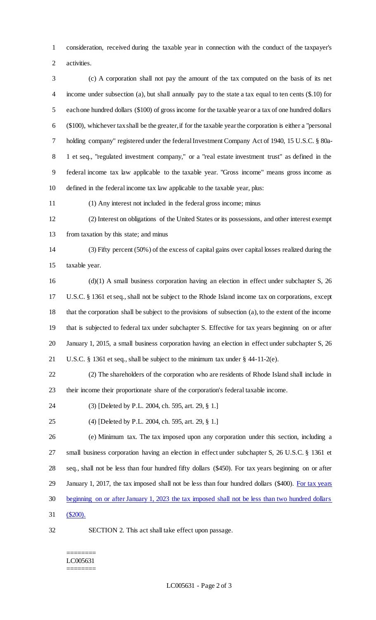consideration, received during the taxable year in connection with the conduct of the taxpayer's activities.

 (c) A corporation shall not pay the amount of the tax computed on the basis of its net income under subsection (a), but shall annually pay to the state a tax equal to ten cents (\$.10) for each one hundred dollars (\$100) of gross income for the taxable year or a tax of one hundred dollars (\$100), whichever tax shall be the greater, if for the taxable year the corporation is either a "personal holding company" registered under the federal Investment Company Act of 1940, 15 U.S.C. § 80a- 1 et seq., "regulated investment company," or a "real estate investment trust" as defined in the federal income tax law applicable to the taxable year. "Gross income" means gross income as defined in the federal income tax law applicable to the taxable year, plus:

(1) Any interest not included in the federal gross income; minus

 (2) Interest on obligations of the United States or its possessions, and other interest exempt from taxation by this state; and minus

 (3) Fifty percent (50%) of the excess of capital gains over capital losses realized during the taxable year.

 (d)(1) A small business corporation having an election in effect under subchapter S, 26 U.S.C. § 1361 et seq., shall not be subject to the Rhode Island income tax on corporations, except that the corporation shall be subject to the provisions of subsection (a), to the extent of the income that is subjected to federal tax under subchapter S. Effective for tax years beginning on or after January 1, 2015, a small business corporation having an election in effect under subchapter S, 26 U.S.C. § 1361 et seq., shall be subject to the minimum tax under § 44-11-2(e).

 (2) The shareholders of the corporation who are residents of Rhode Island shall include in their income their proportionate share of the corporation's federal taxable income.

- (3) [Deleted by P.L. 2004, ch. 595, art. 29, § 1.]
- (4) [Deleted by P.L. 2004, ch. 595, art. 29, § 1.]

 (e) Minimum tax. The tax imposed upon any corporation under this section, including a small business corporation having an election in effect under subchapter S, 26 U.S.C. § 1361 et seq., shall not be less than four hundred fifty dollars (\$450). For tax years beginning on or after 29 January 1, 2017, the tax imposed shall not be less than four hundred dollars (\$400). For tax years beginning on or after January 1, 2023 the tax imposed shall not be less than two hundred dollars (\$200).

SECTION 2. This act shall take effect upon passage.

#### ======== LC005631 ========